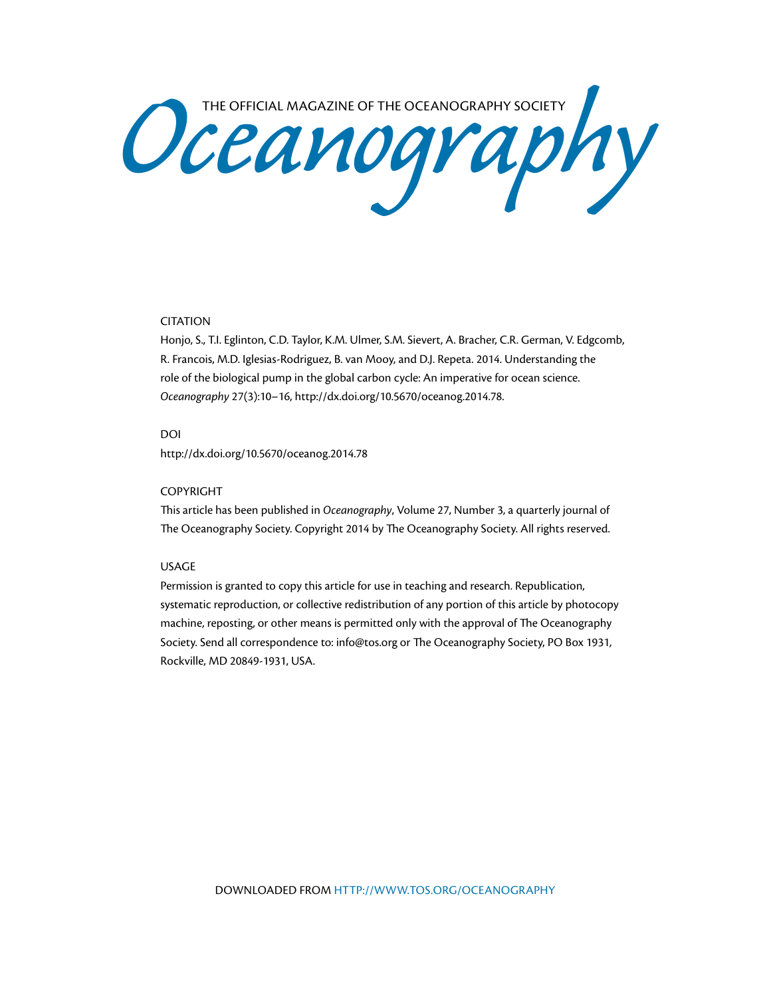Oceanography SOCIETY

## CITATION

Honjo, S., T.I. Eglinton, C.D. Taylor, K.M. Ulmer, S.M. Sievert, A. Bracher, C.R. German, V. Edgcomb, R. Francois, M.D. Iglesias-Rodriguez, B. van Mooy, and D.J. Repeta. 2014. Understanding the role of the biological pump in the global carbon cycle: An imperative for ocean science. *Oceanography* 27(3):10–16, [http://dx.doi.org/10.5670/oceanog.2014.78.](http://dx.doi.org/10.5670/oceanog.2014.78)

#### DOI

<http://dx.doi.org/10.5670/oceanog.2014.78>

#### COPYRIGHT

This article has been published in *Oceanography*, Volume 27, Number 3, a quarterly journal of The Oceanography Society. Copyright 2014 by The Oceanography Society. All rights reserved.

### USAGE

Permission is granted to copy this article for use in teaching and research. Republication, systematic reproduction, or collective redistribution of any portion of this article by photocopy machine, reposting, or other means is permitted only with the approval of The Oceanography Society. Send all correspondence to: [info@tos.org](mailto:info@tos.org) or The Oceanography Society, PO Box 1931, Rockville, MD 20849-1931, USA.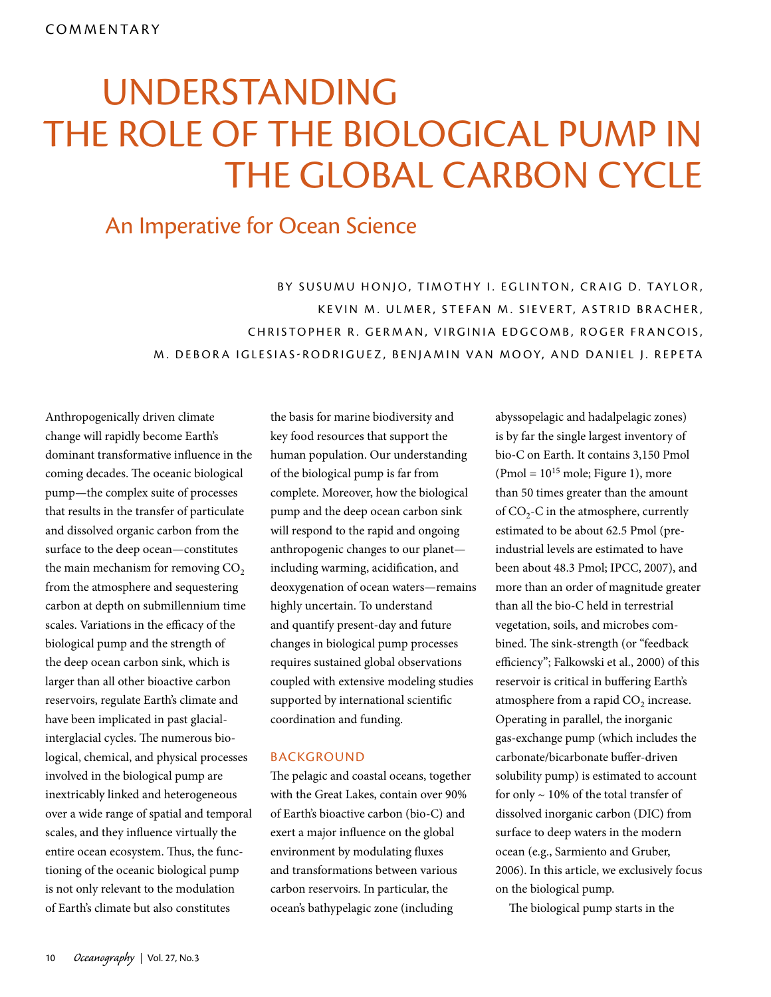# THE ROLE OF THE BIOLOGICAL PUMP IN THE GLOBAL CARBON CYCLE UNDERSTANDING

## An Imperative for Ocean Science

BY SUSUMU HONJO, TIMOTHY I. EGLINTON, CRAIG D. TAYLOR, KEVIN M. ULMER, STEFAN M. SIEVERT, ASTRID BRACHER, CHRISTOPHER R. GERMAN, VIRGINIA EDGCOMB, ROGER FRANCOIS, M. DEBOR A IGLESIAS-RODRIGUEZ, BENJAMIN VAN MOOY, AND DANIEL J. REPETA

Anthropogenically driven climate change will rapidly become Earth's dominant transformative influence in the coming decades. The oceanic biological pump—the complex suite of processes that results in the transfer of particulate and dissolved organic carbon from the surface to the deep ocean—constitutes the main mechanism for removing  $CO<sub>2</sub>$ from the atmosphere and sequestering carbon at depth on submillennium time scales. Variations in the efficacy of the biological pump and the strength of the deep ocean carbon sink, which is larger than all other bioactive carbon reservoirs, regulate Earth's climate and have been implicated in past glacialinterglacial cycles. The numerous biological, chemical, and physical processes involved in the biological pump are inextricably linked and heterogeneous over a wide range of spatial and temporal scales, and they influence virtually the entire ocean ecosystem. Thus, the functioning of the oceanic biological pump is not only relevant to the modulation of Earth's climate but also constitutes

the basis for marine biodiversity and key food resources that support the human population. Our understanding of the biological pump is far from complete. Moreover, how the biological pump and the deep ocean carbon sink will respond to the rapid and ongoing anthropogenic changes to our planet including warming, acidification, and deoxygenation of ocean waters—remains highly uncertain. To understand and quantify present-day and future changes in biological pump processes requires sustained global observations coupled with extensive modeling studies supported by international scientific coordination and funding.

#### BACKGROUND

The pelagic and coastal oceans, together with the Great Lakes, contain over 90% of Earth's bioactive carbon (bio-C) and exert a major influence on the global environment by modulating fluxes and transformations between various carbon reservoirs. In particular, the ocean's bathypelagic zone (including

abyssopelagic and hadalpelagic zones) is by far the single largest inventory of bio-C on Earth. It contains 3,150 Pmol (Pmol =  $10^{15}$  mole; Figure 1), more than 50 times greater than the amount of  $CO<sub>2</sub>-C$  in the atmosphere, currently estimated to be about 62.5 Pmol (preindustrial levels are estimated to have been about 48.3 Pmol; IPCC, 2007), and more than an order of magnitude greater than all the bio-C held in terrestrial vegetation, soils, and microbes combined. The sink-strength (or "feedback efficiency"; Falkowski et al., 2000) of this reservoir is critical in buffering Earth's atmosphere from a rapid  $CO<sub>2</sub>$  increase. Operating in parallel, the inorganic gas-exchange pump (which includes the carbonate/bicarbonate buffer-driven solubility pump) is estimated to account for only  $\sim$  10% of the total transfer of dissolved inorganic carbon (DIC) from surface to deep waters in the modern ocean (e.g., Sarmiento and Gruber, 2006). In this article, we exclusively focus on the biological pump.

The biological pump starts in the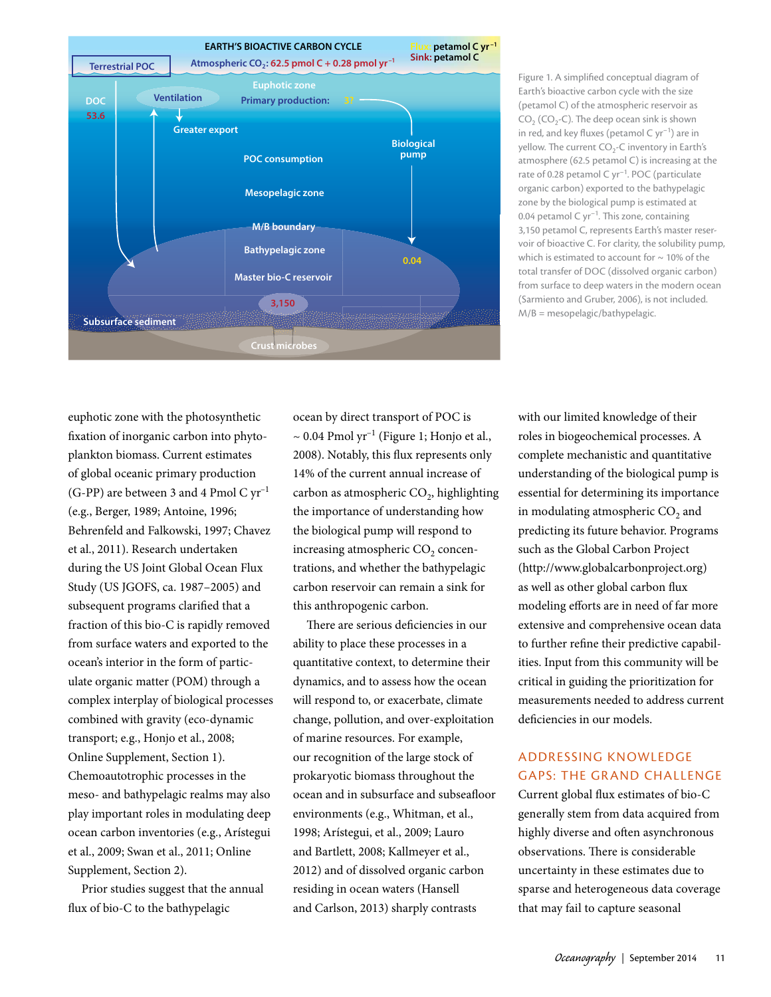

Figure 1. A simplified conceptual diagram of Earth's bioactive carbon cycle with the size (petamol C) of the atmospheric reservoir as  $CO<sub>2</sub>$  (CO<sub>2</sub>-C). The deep ocean sink is shown in red, and key fluxes (petamol  $C$  yr<sup>-1</sup>) are in yellow. The current  $CO<sub>2</sub>$ -C inventory in Earth's atmosphere (62.5 petamol C) is increasing at the rate of 0.28 petamol C yr–1. POC (particulate organic carbon) exported to the bathypelagic zone by the biological pump is estimated at 0.04 petamol  $C$  yr<sup>-1</sup>. This zone, containing 3,150 petamol C, represents Earth's master reservoir of bioactive C. For clarity, the solubility pump, which is estimated to account for  $\sim$  10% of the total transfer of DOC (dissolved organic carbon) from surface to deep waters in the modern ocean (Sarmiento and Gruber, 2006), is not included. M/B = mesopelagic/bathypelagic.

euphotic zone with the photosynthetic fixation of inorganic carbon into phytoplankton biomass. Current estimates of global oceanic primary production (G-PP) are between 3 and 4 Pmol C  $yr^{-1}$ (e.g., Berger, 1989; Antoine, 1996; Behrenfeld and Falkowski, 1997; Chavez et al., 2011). Research undertaken during the US Joint Global Ocean Flux Study (US JGOFS, ca. 1987–2005) and subsequent programs clarified that a fraction of this bio-C is rapidly removed from surface waters and exported to the ocean's interior in the form of particulate organic matter (POM) through a complex interplay of biological processes combined with gravity (eco-dynamic transport; e.g., Honjo et al., 2008; Online Supplement, Section 1). Chemoautotrophic processes in the meso- and bathypelagic realms may also play important roles in modulating deep ocean carbon inventories (e.g., Arístegui et al., 2009; Swan et al., 2011; Online Supplement, Section 2).

Prior studies suggest that the annual flux of bio-C to the bathypelagic

ocean by direct transport of POC is  $\sim 0.04$  Pmol yr<sup>-1</sup> (Figure 1; Honjo et al., 2008). Notably, this flux represents only 14% of the current annual increase of carbon as atmospheric  $CO<sub>2</sub>$ , highlighting the importance of understanding how the biological pump will respond to increasing atmospheric CO<sub>2</sub> concentrations, and whether the bathypelagic carbon reservoir can remain a sink for this anthropogenic carbon.

There are serious deficiencies in our ability to place these processes in a quantitative context, to determine their dynamics, and to assess how the ocean will respond to, or exacerbate, climate change, pollution, and over-exploitation of marine resources. For example, our recognition of the large stock of prokaryotic biomass throughout the ocean and in subsurface and subseafloor environments (e.g., Whitman, et al., 1998; Arístegui, et al., 2009; Lauro and Bartlett, 2008; Kallmeyer et al., 2012) and of dissolved organic carbon residing in ocean waters (Hansell and Carlson, 2013) sharply contrasts

with our limited knowledge of their roles in biogeochemical processes. A complete mechanistic and quantitative understanding of the biological pump is essential for determining its importance in modulating atmospheric  $CO<sub>2</sub>$  and predicting its future behavior. Programs such as the Global Carbon Project [\(http://www.globalcarbonproject.org](http://www.globalcarbonproject.org/index.htm)) as well as other global carbon flux modeling efforts are in need of far more extensive and comprehensive ocean data to further refine their predictive capabilities. Input from this community will be critical in guiding the prioritization for measurements needed to address current deficiencies in our models.

## ADDRESSING KNOWLEDGE **GAPS: THE GRAND CHALLENGE**

Current global flux estimates of bio-C generally stem from data acquired from highly diverse and often asynchronous observations. There is considerable uncertainty in these estimates due to sparse and heterogeneous data coverage that may fail to capture seasonal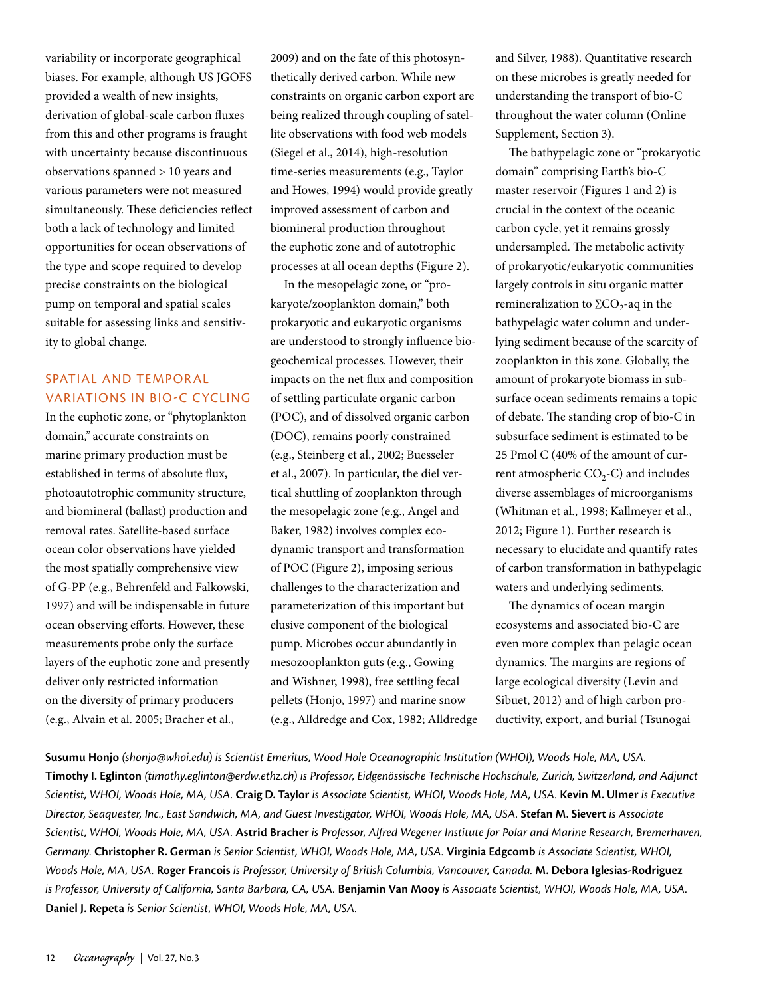variability or incorporate geographical biases. For example, although US JGOFS provided a wealth of new insights, derivation of global-scale carbon fluxes from this and other programs is fraught with uncertainty because discontinuous observations spanned > 10 years and various parameters were not measured simultaneously. These deficiencies reflect both a lack of technology and limited opportunities for ocean observations of the type and scope required to develop precise constraints on the biological pump on temporal and spatial scales suitable for assessing links and sensitivity to global change.

## SPATIAL AND TEMPORAL VARIATIONS IN BIO-C CYCLING

In the euphotic zone, or "phytoplankton domain*,"* accurate constraints on marine primary production must be established in terms of absolute flux, photoautotrophic community structure, and biomineral (ballast) production and removal rates. Satellite-based surface ocean color observations have yielded the most spatially comprehensive view of G-PP (e.g., Behrenfeld and Falkowski, 1997) and will be indispensable in future ocean observing efforts. However, these measurements probe only the surface layers of the euphotic zone and presently deliver only restricted information on the diversity of primary producers (e.g., Alvain et al. 2005; Bracher et al.,

2009) and on the fate of this photosynthetically derived carbon. While new constraints on organic carbon export are being realized through coupling of satellite observations with food web models (Siegel et al., 2014), high-resolution time-series measurements (e.g., Taylor and Howes, 1994) would provide greatly improved assessment of carbon and biomineral production throughout the euphotic zone and of autotrophic processes at all ocean depths (Figure 2).

In the mesopelagic zone, or "prokaryote/zooplankton domain," both prokaryotic and eukaryotic organisms are understood to strongly influence biogeochemical processes. However, their impacts on the net flux and composition of settling particulate organic carbon (POC), and of dissolved organic carbon (DOC), remains poorly constrained (e.g., Steinberg et al., 2002; Buesseler et al., 2007). In particular, the diel vertical shuttling of zooplankton through the mesopelagic zone (e.g., Angel and Baker, 1982) involves complex ecodynamic transport and transformation of POC (Figure 2), imposing serious challenges to the characterization and parameterization of this important but elusive component of the biological pump. Microbes occur abundantly in mesozooplankton guts (e.g., Gowing and Wishner, 1998), free settling fecal pellets (Honjo, 1997) and marine snow (e.g., Alldredge and Cox, 1982; Alldredge and Silver, 1988). Quantitative research on these microbes is greatly needed for understanding the transport of bio-C throughout the water column (Online Supplement, Section 3).

The bathypelagic zone or "prokaryotic domain" comprising Earth's bio-C master reservoir (Figures 1 and 2) is crucial in the context of the oceanic carbon cycle, yet it remains grossly undersampled. The metabolic activity of prokaryotic/eukaryotic communities largely controls in situ organic matter remineralization to  $\Sigma$ CO<sub>2</sub>-aq in the bathypelagic water column and underlying sediment because of the scarcity of zooplankton in this zone. Globally, the amount of prokaryote biomass in subsurface ocean sediments remains a topic of debate. The standing crop of bio-C in subsurface sediment is estimated to be 25 Pmol C (40% of the amount of current atmospheric  $CO<sub>2</sub>-C$ ) and includes diverse assemblages of microorganisms (Whitman et al., 1998; Kallmeyer et al., 2012; Figure 1). Further research is necessary to elucidate and quantify rates of carbon transformation in bathypelagic waters and underlying sediments.

The dynamics of ocean margin ecosystems and associated bio-C are even more complex than pelagic ocean dynamics. The margins are regions of large ecological diversity (Levin and Sibuet, 2012) and of high carbon productivity, export, and burial (Tsunogai

**Susumu Honjo** *[\(shonjo@whoi.edu\)](mailto:shonjo@whoi.edu) is Scientist Emeritus, Wood Hole Oceanographic Institution (WHOI), Woods Hole, MA, USA.*  **Timothy I. Eglinton** *[\(timothy.eglinton@erdw.ethz.ch](mailto:timothy.eglinton@erdw.ethz.ch)) is Professor, Eidgenössische Technische Hochschule, Zurich, Switzerland, and Adjunct Scientist, WHOI, Woods Hole, MA, USA.* **Craig D. Taylor** *is Associate Scientist, WHOI, Woods Hole, MA, USA.* **Kevin M. Ulmer** *is Executive Director, Seaquester, Inc., East Sandwich, MA, and Guest Investigator, WHOI, Woods Hole, MA, USA.* **Stefan M. Sievert** *is Associate Scientist, WHOI, Woods Hole, MA, USA.* **Astrid Bracher** *is Professor, Alfred Wegener Institute for Polar and Marine Research, Bremerhaven, Germany.* **Christopher R. German** *is Senior Scientist, WHOI, Woods Hole, MA, USA.* **Virginia Edgcomb** *is Associate Scientist, WHOI, Woods Hole, MA, USA.* **Roger Francois** *is Professor, University of British Columbia, Vancouver, Canada.* **M. Debora Iglesias-Rodriguez** *is Professor, University of California, Santa Barbara, CA, USA.* **Benjamin Van Mooy** *is Associate Scientist, WHOI, Woods Hole, MA, USA.*  **Daniel J. Repeta** *is Senior Scientist, WHOI, Woods Hole, MA, USA.*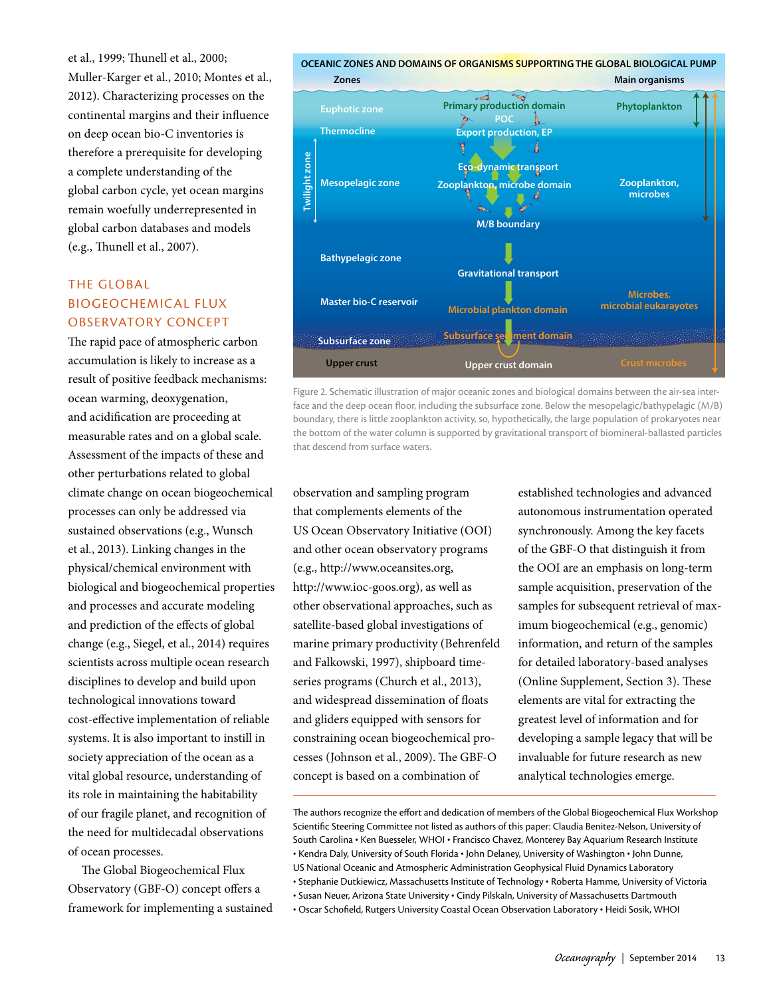et al., 1999; Thunell et al., 2000; Muller-Karger et al., 2010; Montes et al., 2012). Characterizing processes on the continental margins and their influence on deep ocean bio-C inventories is therefore a prerequisite for developing a complete understanding of the global carbon cycle, yet ocean margins remain woefully underrepresented in global carbon databases and models (e.g., Thunell et al., 2007).

## THE GLOBAL BIOGEOCHEMICAL FLUX OBSERVATORY CONCEPT

The rapid pace of atmospheric carbon accumulation is likely to increase as a result of positive feedback mechanisms: ocean warming, deoxygenation, and acidification are proceeding at measurable rates and on a global scale. Assessment of the impacts of these and other perturbations related to global climate change on ocean biogeochemical processes can only be addressed via sustained observations (e.g., Wunsch et al., 2013). Linking changes in the physical/chemical environment with biological and biogeochemical properties and processes and accurate modeling and prediction of the effects of global change (e.g., Siegel, et al., 2014) requires scientists across multiple ocean research disciplines to develop and build upon technological innovations toward cost-effective implementation of reliable systems. It is also important to instill in society appreciation of the ocean as a vital global resource, understanding of its role in maintaining the habitability of our fragile planet, and recognition of the need for multidecadal observations of ocean processes.

The Global Biogeochemical Flux Observatory (GBF-O) concept offers a framework for implementing a sustained



Figure 2. Schematic illustration of major oceanic zones and biological domains between the air-sea interface and the deep ocean floor, including the subsurface zone. Below the mesopelagic/bathypelagic (M/B) boundary, there is little zooplankton activity, so, hypothetically, the large population of prokaryotes near the bottom of the water column is supported by gravitational transport of biomineral-ballasted particles that descend from surface waters.

observation and sampling program that complements elements of the US Ocean Observatory Initiative (OOI) and other ocean observatory programs (e.g., [http://www.oceansites.org,](http://www.oceansites.org/) <http://www.ioc-goos.org>), as well as other observational approaches, such as satellite-based global investigations of marine primary productivity (Behrenfeld and Falkowski, 1997), shipboard timeseries programs (Church et al., 2013), and widespread dissemination of floats and gliders equipped with sensors for constraining ocean biogeochemical processes (Johnson et al., 2009). The GBF-O concept is based on a combination of

established technologies and advanced autonomous instrumentation operated synchronously. Among the key facets of the GBF-O that distinguish it from the OOI are an emphasis on long-term sample acquisition, preservation of the samples for subsequent retrieval of maximum biogeochemical (e.g., genomic) information, and return of the samples for detailed laboratory-based analyses (Online Supplement, Section 3). These elements are vital for extracting the greatest level of information and for developing a sample legacy that will be invaluable for future research as new analytical technologies emerge.

The authors recognize the effort and dedication of members of the Global Biogeochemical Flux Workshop Scientific Steering Committee not listed as authors of this paper: Claudia Benitez-Nelson, University of South Carolina • Ken Buesseler, WHOI • Francisco Chavez, Monterey Bay Aquarium Research Institute • Kendra Daly, University of South Florida • John Delaney, University of Washington • John Dunne, US National Oceanic and Atmospheric Administration Geophysical Fluid Dynamics Laboratory

<sup>•</sup> Stephanie Dutkiewicz, Massachusetts Institute of Technology • Roberta Hamme, University of Victoria

<sup>•</sup> Susan Neuer, Arizona State University • Cindy Pilskaln, University of Massachusetts Dartmouth

<sup>•</sup> Oscar Schofield, Rutgers University Coastal Ocean Observation Laboratory • Heidi Sosik, WHOI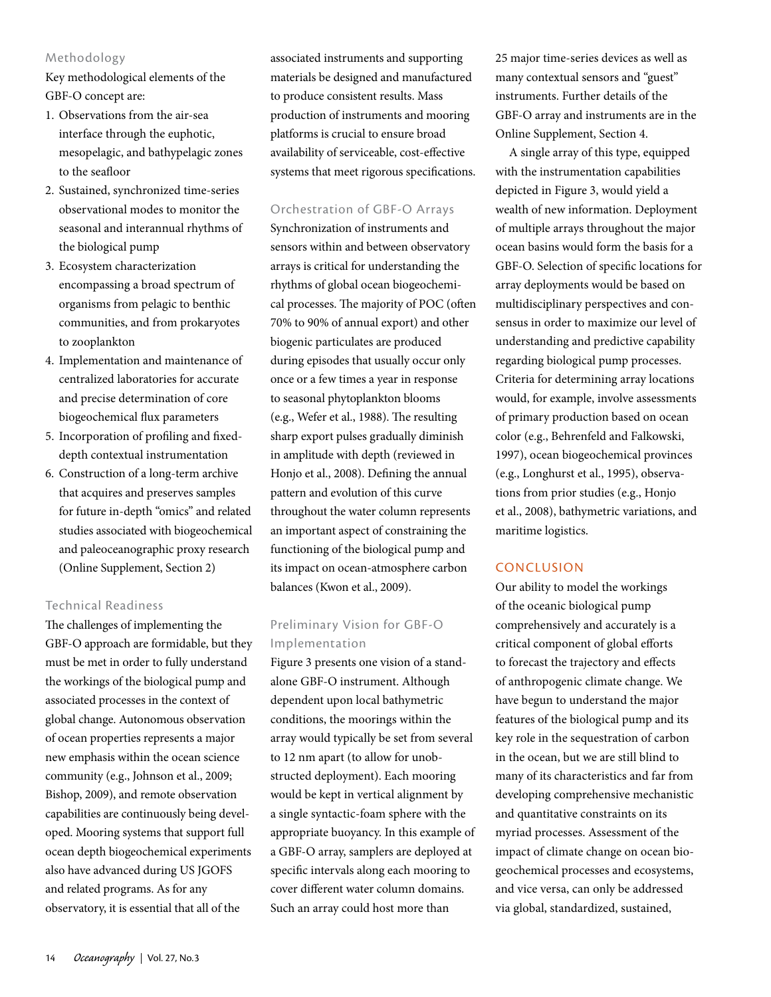### Methodology

Key methodological elements of the GBF-O concept are:

- 1. Observations from the air-sea interface through the euphotic, mesopelagic, and bathypelagic zones to the seafloor
- 2. Sustained, synchronized time-series observational modes to monitor the seasonal and interannual rhythms of the biological pump
- 3. Ecosystem characterization encompassing a broad spectrum of organisms from pelagic to benthic communities, and from prokaryotes to zooplankton
- 4. Implementation and maintenance of centralized laboratories for accurate and precise determination of core biogeochemical flux parameters
- 5. Incorporation of profiling and fixeddepth contextual instrumentation
- 6. Construction of a long-term archive that acquires and preserves samples for future in-depth "omics" and related studies associated with biogeochemical and paleoceanographic proxy research (Online Supplement, Section 2)

## Technical Readiness

The challenges of implementing the GBF-O approach are formidable, but they must be met in order to fully understand the workings of the biological pump and associated processes in the context of global change. Autonomous observation of ocean properties represents a major new emphasis within the ocean science community (e.g., Johnson et al., 2009; Bishop, 2009), and remote observation capabilities are continuously being developed. Mooring systems that support full ocean depth biogeochemical experiments also have advanced during US JGOFS and related programs. As for any observatory, it is essential that all of the

associated instruments and supporting materials be designed and manufactured to produce consistent results. Mass production of instruments and mooring platforms is crucial to ensure broad availability of serviceable, cost-effective systems that meet rigorous specifications.

## Orchestration of GBF-O Arrays

Synchronization of instruments and sensors within and between observatory arrays is critical for understanding the rhythms of global ocean biogeochemical processes. The majority of POC (often 70% to 90% of annual export) and other biogenic particulates are produced during episodes that usually occur only once or a few times a year in response to seasonal phytoplankton blooms (e.g., Wefer et al., 1988). The resulting sharp export pulses gradually diminish in amplitude with depth (reviewed in Honjo et al., 2008). Defining the annual pattern and evolution of this curve throughout the water column represents an important aspect of constraining the functioning of the biological pump and its impact on ocean-atmosphere carbon balances (Kwon et al., 2009).

## Preliminary Vision for GBF-O Implementation

Figure 3 presents one vision of a standalone GBF-O instrument. Although dependent upon local bathymetric conditions, the moorings within the array would typically be set from several to 12 nm apart (to allow for unobstructed deployment). Each mooring would be kept in vertical alignment by a single syntactic-foam sphere with the appropriate buoyancy. In this example of a GBF-O array, samplers are deployed at specific intervals along each mooring to cover different water column domains. Such an array could host more than

25 major time-series devices as well as many contextual sensors and "guest" instruments. Further details of the GBF-O array and instruments are in the Online Supplement, Section 4.

A single array of this type, equipped with the instrumentation capabilities depicted in Figure 3, would yield a wealth of new information. Deployment of multiple arrays throughout the major ocean basins would form the basis for a GBF-O. Selection of specific locations for array deployments would be based on multidisciplinary perspectives and consensus in order to maximize our level of understanding and predictive capability regarding biological pump processes. Criteria for determining array locations would, for example, involve assessments of primary production based on ocean color (e.g., Behrenfeld and Falkowski, 1997), ocean biogeochemical provinces (e.g., Longhurst et al., 1995), observations from prior studies (e.g., Honjo et al., 2008), bathymetric variations, and maritime logistics.

## **CONCLUSION**

Our ability to model the workings of the oceanic biological pump comprehensively and accurately is a critical component of global efforts to forecast the trajectory and effects of anthropogenic climate change. We have begun to understand the major features of the biological pump and its key role in the sequestration of carbon in the ocean, but we are still blind to many of its characteristics and far from developing comprehensive mechanistic and quantitative constraints on its myriad processes. Assessment of the impact of climate change on ocean biogeochemical processes and ecosystems, and vice versa, can only be addressed via global, standardized, sustained,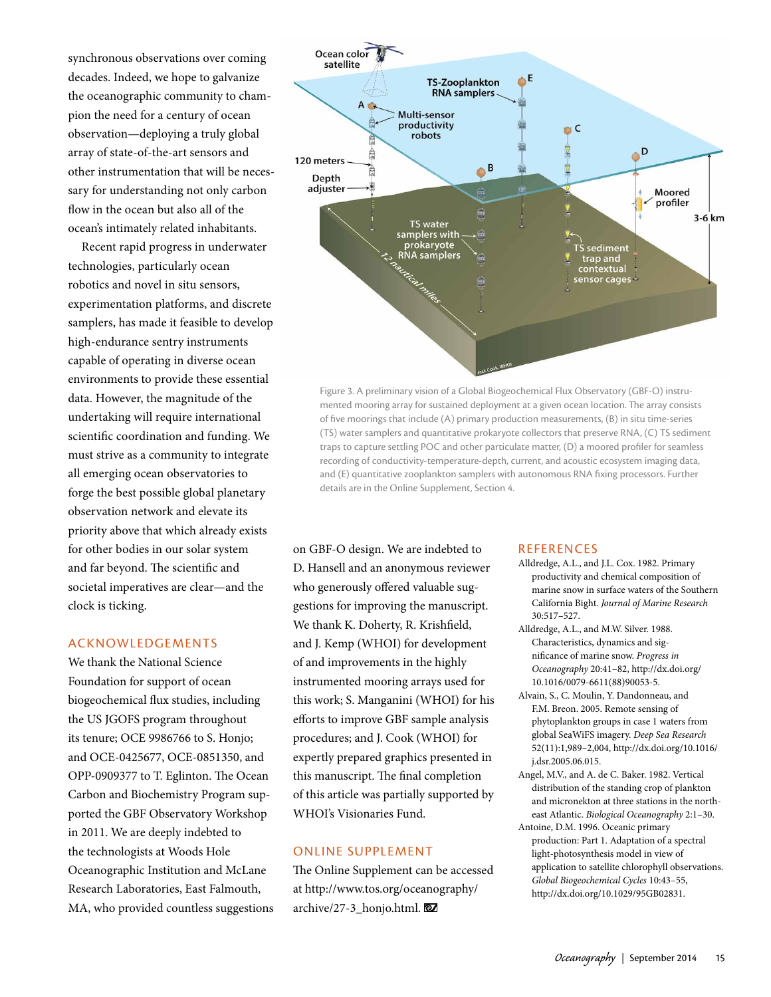synchronous observations over coming decades. Indeed, we hope to galvanize the oceanographic community to champion the need for a century of ocean observation—deploying a truly global array of state-of-the-art sensors and other instrumentation that will be necessary for understanding not only carbon flow in the ocean but also all of the ocean's intimately related inhabitants.

Recent rapid progress in underwater technologies, particularly ocean robotics and novel in situ sensors, experimentation platforms, and discrete samplers, has made it feasible to develop high-endurance sentry instruments capable of operating in diverse ocean environments to provide these essential data. However, the magnitude of the undertaking will require international scientific coordination and funding. We must strive as a community to integrate all emerging ocean observatories to forge the best possible global planetary observation network and elevate its priority above that which already exists for other bodies in our solar system and far beyond. The scientific and societal imperatives are clear—and the clock is ticking.

## ACKNOWLEDGEMENTS

We thank the National Science Foundation for support of ocean biogeochemical flux studies, including the US JGOFS program throughout its tenure; OCE 9986766 to S. Honjo; and OCE-0425677, OCE-0851350, and OPP-0909377 to T. Eglinton. The Ocean Carbon and Biochemistry Program supported the GBF Observatory Workshop in 2011. We are deeply indebted to the technologists at Woods Hole Oceanographic Institution and McLane Research Laboratories, East Falmouth, MA, who provided countless suggestions



Figure 3. A preliminary vision of a Global Biogeochemical Flux Observatory (GBF-O) instrumented mooring array for sustained deployment at a given ocean location. The array consists of five moorings that include (A) primary production measurements, (B) in situ time-series (TS) water samplers and quantitative prokaryote collectors that preserve RNA, (C) TS sediment traps to capture settling POC and other particulate matter, (D) a moored profiler for seamless recording of conductivity-temperature-depth, current, and acoustic ecosystem imaging data, and (E) quantitative zooplankton samplers with autonomous RNA fixing processors. Further details are in the Online Supplement, Section 4.

on GBF-O design. We are indebted to D. Hansell and an anonymous reviewer who generously offered valuable suggestions for improving the manuscript. We thank K. Doherty, R. Krishfield, and J. Kemp (WHOI) for development of and improvements in the highly instrumented mooring arrays used for this work; S. Manganini (WHOI) for his efforts to improve GBF sample analysis procedures; and J. Cook (WHOI) for expertly prepared graphics presented in this manuscript. The final completion of this article was partially supported by WHOI's Visionaries Fund.

## ONLINE SUPPLEMENT

The Online Supplement can be accessed at [http://www.tos.org/oceanography/](http://www.tos.org/oceanography/archive/27-3_honjo.html) [archive/27-3\\_honjo.html](http://www.tos.org/oceanography/archive/27-3_honjo.html).

#### REFERENCES

- Alldredge, A.L., and J.L. Cox. 1982. Primary productivity and chemical composition of marine snow in surface waters of the Southern California Bight. *Journal of Marine Research* 30:517–527.
- Alldredge, A.L., and M.W. Silver. 1988. Characteristics, dynamics and significance of marine snow. *Progress in Oceanography* 20:41–82, [http://dx.doi.org/](http://dx.doi.org/10.1016/0079-6611(88)90053-5) [10.1016/0079-6611\(88\)90053-5.](http://dx.doi.org/10.1016/0079-6611(88)90053-5)
- Alvain, S., C. Moulin, Y. Dandonneau, and F.M. Breon. 2005. Remote sensing of phytoplankton groups in case 1 waters from global SeaWiFS imagery. *Deep Sea Research* 52(11):1,989–2,004, [http://dx.doi.org/10.1016/](http://dx.doi.org/10.1016/j.dsr.2005.06.015) [j.dsr.2005.06.015.](http://dx.doi.org/10.1016/j.dsr.2005.06.015)
- Angel, M.V., and A. de C. Baker. 1982. Vertical distribution of the standing crop of plankton and micronekton at three stations in the northeast Atlantic. *Biological Oceanography* 2:1–30.
- Antoine, D.M. 1996. Oceanic primary production: Part 1. Adaptation of a spectral light-photosynthesis model in view of application to satellite chlorophyll observations. *Global Biogeochemical Cycles* 10:43–55, [http://dx.doi.org/10.1029/95GB02831.](http://dx.doi.org/10.1029/95GB02831)